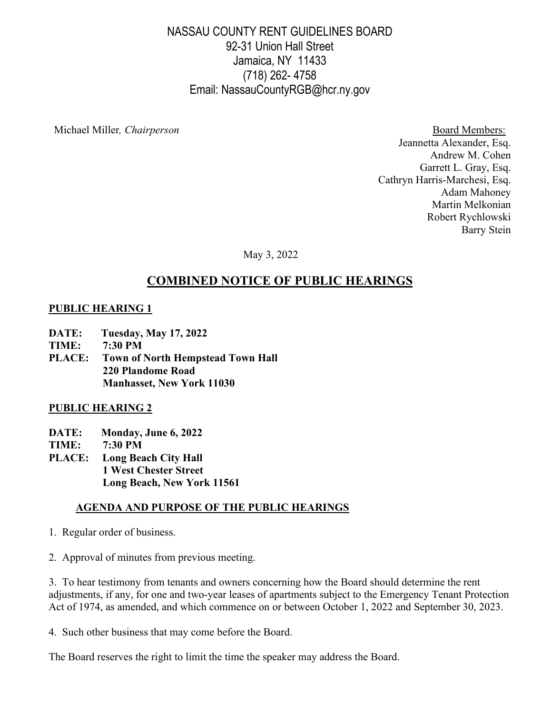## NASSAU COUNTY RENT GUIDELINES BOARD 92-31 Union Hall Street Jamaica, NY 11433 (718) 262- 4758 Email: NassauCountyRGB@hcr.ny.gov

Michael Miller*, Chairperson* Board Members:

Jeannetta Alexander, Esq. Andrew M. Cohen Garrett L. Gray, Esq. Cathryn Harris-Marchesi, Esq. Adam Mahoney Martin Melkonian Robert Rychlowski Barry Stein

May 3, 2022

# **COMBINED NOTICE OF PUBLIC HEARINGS**

## **PUBLIC HEARING 1**

- **DATE: Tuesday, May 17, 2022**
- **TIME: 7:30 PM**
- **PLACE: Town of North Hempstead Town Hall 220 Plandome Road Manhasset, New York 11030**

#### **PUBLIC HEARING 2**

- **DATE: Monday, June 6, 2022**
- **TIME: 7:30 PM**
- **PLACE: Long Beach City Hall 1 West Chester Street Long Beach, New York 11561**

## **AGENDA AND PURPOSE OF THE PUBLIC HEARINGS**

- 1. Regular order of business.
- 2. Approval of minutes from previous meeting.

3. To hear testimony from tenants and owners concerning how the Board should determine the rent adjustments, if any, for one and two-year leases of apartments subject to the Emergency Tenant Protection Act of 1974, as amended, and which commence on or between October 1, 2022 and September 30, 2023.

4. Such other business that may come before the Board.

The Board reserves the right to limit the time the speaker may address the Board.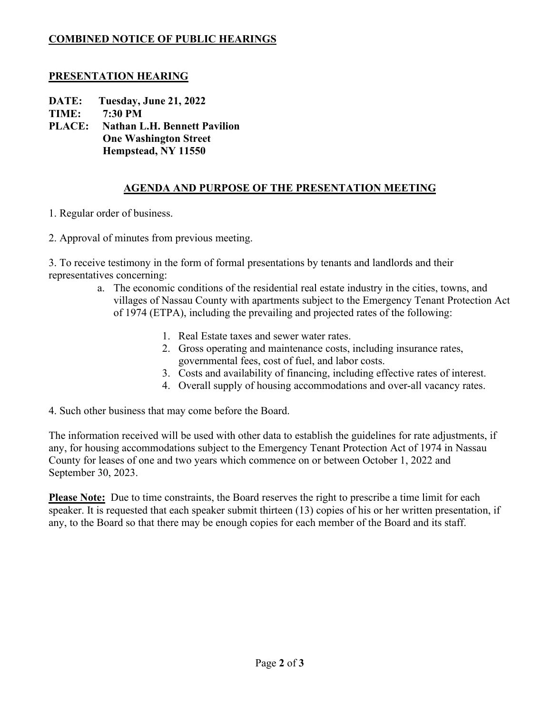## **COMBINED NOTICE OF PUBLIC HEARINGS**

#### **PRESENTATION HEARING**

**DATE: Tuesday, June 21, 2022**

**TIME: 7:30 PM**

**PLACE: Nathan L.H. Bennett Pavilion One Washington Street Hempstead, NY 11550**

## **AGENDA AND PURPOSE OF THE PRESENTATION MEETING**

- 1. Regular order of business.
- 2. Approval of minutes from previous meeting.

3. To receive testimony in the form of formal presentations by tenants and landlords and their representatives concerning:

- a. The economic conditions of the residential real estate industry in the cities, towns, and villages of Nassau County with apartments subject to the Emergency Tenant Protection Act of 1974 (ETPA), including the prevailing and projected rates of the following:
	- 1. Real Estate taxes and sewer water rates.
	- 2. Gross operating and maintenance costs, including insurance rates, governmental fees, cost of fuel, and labor costs.
	- 3. Costs and availability of financing, including effective rates of interest.
	- 4. Overall supply of housing accommodations and over-all vacancy rates.

4. Such other business that may come before the Board.

The information received will be used with other data to establish the guidelines for rate adjustments, if any, for housing accommodations subject to the Emergency Tenant Protection Act of 1974 in Nassau County for leases of one and two years which commence on or between October 1, 2022 and September 30, 2023.

**Please Note:** Due to time constraints, the Board reserves the right to prescribe a time limit for each speaker. It is requested that each speaker submit thirteen (13) copies of his or her written presentation, if any, to the Board so that there may be enough copies for each member of the Board and its staff.